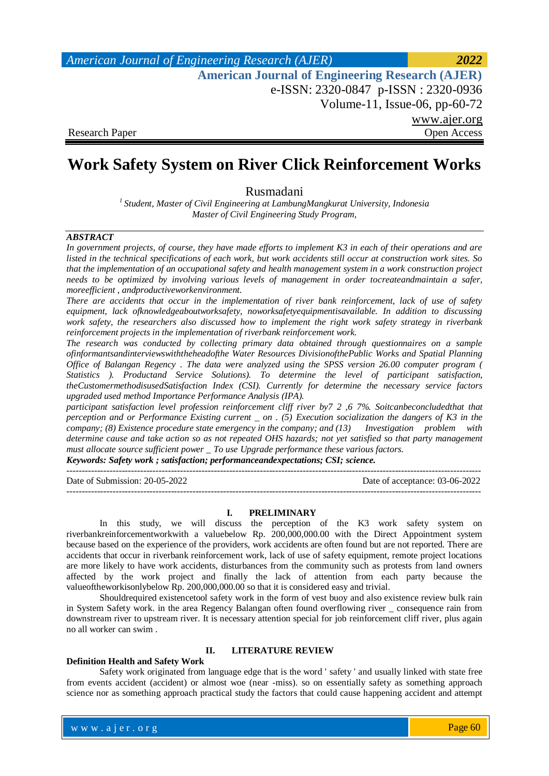*American Journal of Engineering Research (AJER) 2022*  **American Journal of Engineering Research (AJER)** e-ISSN: 2320-0847 p-ISSN : 2320-0936 Volume-11, Issue-06, pp-60-72 www.ajer.org Research Paper Open Access

# **Work Safety System on River Click Reinforcement Works**

Rusmadani

*<sup>1</sup>Student, Master of Civil Engineering at LambungMangkurat University, Indonesia Master of Civil Engineering Study Program,*

#### *ABSTRACT*

*In government projects, of course, they have made efforts to implement K3 in each of their operations and are listed in the technical specifications of each work, but work accidents still occur at construction work sites. So that the implementation of an occupational safety and health management system in a work construction project needs to be optimized by involving various levels of management in order tocreateandmaintain a safer, moreefficient , andproductiveworkenvironment.*

*There are accidents that occur in the implementation of river bank reinforcement, lack of use of safety equipment, lack ofknowledgeaboutworksafety, noworksafetyequipmentisavailable. In addition to discussing work safety, the researchers also discussed how to implement the right work safety strategy in riverbank reinforcement projects in the implementation of riverbank reinforcement work.*

*The research was conducted by collecting primary data obtained through questionnaires on a sample ofinformantsandinterviewswiththeheadofthe Water Resources DivisionofthePublic Works and Spatial Planning Office of Balangan Regency . The data were analyzed using the SPSS version 26.00 computer program ( Statistics ). Productand Service Solutions). To determine the level of participant satisfaction, theCustomermethodisusedSatisfaction Index (CSI). Currently for determine the necessary service factors upgraded used method Importance Performance Analysis (IPA).*

*participant satisfaction level profession reinforcement cliff river by7 2 ,6 7%. Soitcanbeconcludedthat that perception and or Performance Existing current \_ on . (5) Execution socialization the dangers of K3 in the company; (8) Existence procedure state emergency in the company; and (13) Investigation problem with determine cause and take action so as not repeated OHS hazards; not yet satisfied so that party management must allocate source sufficient power \_ To use Upgrade performance these various factors. Keywords: Safety work ; satisfaction; performanceandexpectations; CSI; science.*

---------------------------------------------------------------------------------------------------------------------------------------

Date of Submission: 20-05-2022 Date of acceptance: 03-06-2022

#### **I. PRELIMINARY**

---------------------------------------------------------------------------------------------------------------------------------------

In this study, we will discuss the perception of the K3 work safety system on riverbankreinforcementworkwith a valuebelow Rp. 200,000,000.00 with the Direct Appointment system because based on the experience of the providers, work accidents are often found but are not reported. There are accidents that occur in riverbank reinforcement work, lack of use of safety equipment, remote project locations are more likely to have work accidents, disturbances from the community such as protests from land owners affected by the work project and finally the lack of attention from each party because the valueoftheworkisonlybelow Rp. 200,000,000.00 so that it is considered easy and trivial.

Shouldrequired existencetool safety work in the form of vest buoy and also existence review bulk rain in System Safety work. in the area Regency Balangan often found overflowing river \_ consequence rain from downstream river to upstream river. It is necessary attention special for job reinforcement cliff river, plus again no all worker can swim .

# **II. LITERATURE REVIEW**

#### **Definition Health and Safety Work**

Safety work originated from language edge that is the word ' safety ' and usually linked with state free from events accident (accident) or almost woe (near -miss). so on essentially safety as something approach science nor as something approach practical study the factors that could cause happening accident and attempt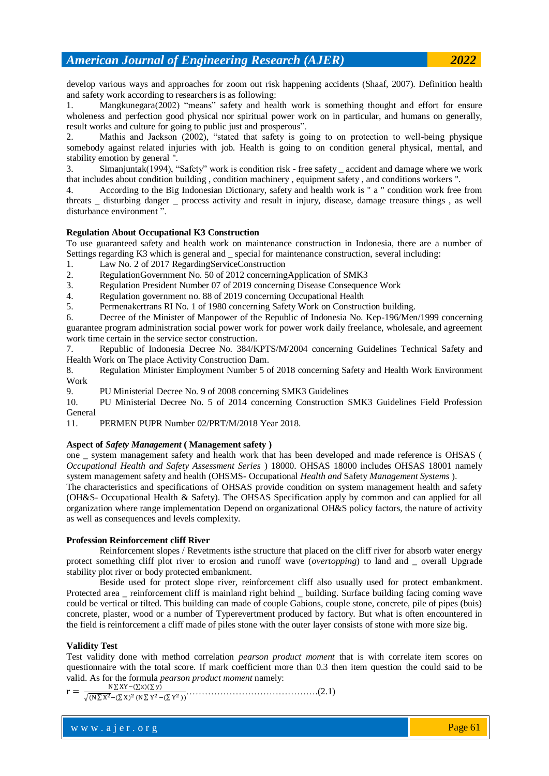develop various ways and approaches for zoom out risk happening accidents (Shaaf, 2007). Definition health and safety work according to researchers is as following:

1. Mangkunegara(2002) "means" safety and health work is something thought and effort for ensure wholeness and perfection good physical nor spiritual power work on in particular, and humans on generally, result works and culture for going to public just and prosperous".

2. Mathis and Jackson (2002), "stated that safety is going to on protection to well-being physique somebody against related injuries with job. Health is going to on condition general physical, mental, and stability emotion by general ".

3. Simanjuntak(1994), "Safety" work is condition risk - free safety \_ accident and damage where we work that includes about condition building , condition machinery , equipment safety , and conditions workers ".

4. According to the Big Indonesian Dictionary, safety and health work is " a " condition work free from threats \_ disturbing danger \_ process activity and result in injury, disease, damage treasure things , as well disturbance environment ".

### **Regulation About Occupational K3 Construction**

To use guaranteed safety and health work on maintenance construction in Indonesia, there are a number of Settings regarding K3 which is general and special for maintenance construction, several including:

- 1. Law No. 2 [of 2017 RegardingServiceConstruction](https://sibima.pu.go.id/mod/resource/view.php?id=16194)
- 2. [RegulationGovernment No. 50 of 2012 concerningApplication of SMK3](https://sibima.pu.go.id/mod/resource/view.php?id=16196)
- 3. Regulation President Number 07 of 2019 concerning Disease Consequence Work
- 4. Regulation government no. 88 of 2019 concerning Occupational Health

5. Permenakertrans RI No. 1 of 1980 concerning Safety Work on Construction building.

6. Decree of the Minister of Manpower of the Republic of Indonesia No. Kep-196/Men/1999 concerning guarantee program administration social power work for power work daily freelance, wholesale, and agreement work time certain in the service sector construction.

7. Republic of Indonesia Decree No. 384/KPTS/M/2004 concerning Guidelines Technical Safety and Health Work on The place Activity Construction Dam.

8. Regulation Minister Employment Number 5 of 2018 concerning Safety and Health Work Environment Work

9. PU Ministerial Decree No. 9 of 2008 concerning SMK3 Guidelines

10. PU Ministerial Decree No. 5 of 2014 concerning Construction SMK3 Guidelines Field Profession General

11. PERMEN PUPR Number 02/PRT/M/2018 Year 2018.

#### **Aspect of** *Safety Management* **( Management safety )**

one \_ system management safety and health work that has been developed and made reference is OHSAS ( *Occupational Health and Safety Assessment Series* ) 18000. OHSAS 18000 includes OHSAS 18001 namely system management safety and health (OHSMS- Occupational *Health and* Safety *Management Systems* ).

The characteristics and specifications of OHSAS provide condition on system management health and safety (OH&S- Occupational Health & Safety). The OHSAS Specification apply by common and can applied for all organization where range implementation Depend on organizational OH&S policy factors, the nature of activity as well as consequences and levels complexity.

#### **Profession Reinforcement cliff River**

Reinforcement slopes / Revetments isthe structure that placed on the cliff river for absorb water energy protect something cliff plot river to erosion and runoff wave (*overtopping*) to land and \_ overall Upgrade stability plot river or body protected embankment.

Beside used for protect slope river, reinforcement cliff also usually used for protect embankment. Protected area reinforcement cliff is mainland right behind building. Surface building facing coming wave could be vertical or tilted. This building can made of couple Gabions, couple stone, concrete, pile of pipes (buis) concrete, plaster, wood or a number of Typerevertment produced by factory. But what is often encountered in the field is reinforcement a cliff made of piles stone with the outer layer consists of stone with more size big.

#### **Validity Test**

Test validity done with method correlation *pearson product moment* that is with correlate item scores on questionnaire with the total score. If mark coefficient more than 0.3 then item question the could said to be valid. As for the formula *pearson product moment* namely: 

 …………………………………….(2.1)

w w w . a j e r . o r g where  $\mathcal{L} = \mathcal{L} \left( \mathcal{L} \right)$  is the set of  $\mathcal{L} \left( \mathcal{L} \right)$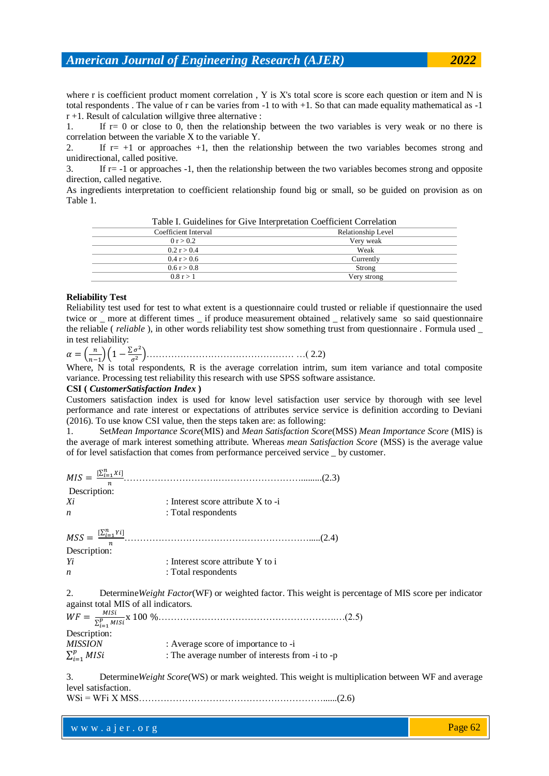where r is coefficient product moment correlation, Y is X's total score is score each question or item and N is total respondents . The value of r can be varies from -1 to with +1. So that can made equality mathematical as -1  $r + 1$ . Result of calculation will give three alternative :

1. If r= 0 or close to 0, then the relationship between the two variables is very weak or no there is correlation between the variable X to the variable Y.

2. If  $r= +1$  or approaches  $+1$ , then the relationship between the two variables becomes strong and unidirectional, called positive.

3. If r= -1 or approaches -1, then the relationship between the two variables becomes strong and opposite direction, called negative.

As ingredients interpretation to coefficient relationship found big or small, so be guided on provision as on Table 1.

| Table 1. Outdelines for Orve line pretation Coefficient Correlation |                    |  |
|---------------------------------------------------------------------|--------------------|--|
| Coefficient Interval                                                | Relationship Level |  |
| 0 r > 0.2                                                           | Very weak          |  |
| 0.2 r > 0.4                                                         | Weak               |  |
| 0.4 r > 0.6                                                         | Currently          |  |
| 0.6 r > 0.8                                                         | Strong             |  |
| 0.8 r > 1                                                           | Very strong        |  |
|                                                                     |                    |  |

Table I. Guidelines for Give Interpretation Coefficient Correlation

#### **Reliability Test**

Reliability test used for test to what extent is a questionnaire could trusted or reliable if questionnaire the used twice or \_ more at different times \_ if produce measurement obtained \_ relatively same so said questionnaire the reliable ( *reliable* ), in other words reliability test show something trust from questionnaire . Formula used \_ in test reliability:

 $\alpha = \left(\frac{n}{n}\right)$  $\frac{n}{n-1}\left(1-\frac{\sum \sigma^2}{\sigma^2}\right)$ ………………………………………… …( 2.2)

Where, N is total respondents, R is the average correlation intrim, sum item variance and total composite variance. Processing test reliability this research with use SPSS software assistance.

#### **CSI (** *CustomerSatisfaction Index* **)**

Customers satisfaction index is used for know level satisfaction user service by thorough with see level performance and rate interest or expectations of attributes service service is definition according to Deviani (2016). To use know CSI value, then the steps taken are: as following:

1. Set*Mean Importance Score*(MIS) and *Mean Satisfaction Score*(MSS) *Mean Importance Score* (MIS) is the average of mark interest something attribute. Whereas *mean Satisfaction Score* (MSS) is the average value of for level satisfaction that comes from performance perceived service \_ by customer.

| $MIS = \frac{[\sum_{i=1}^{n}Xi_i]}{[\sum_{i=1}^{n}igma_i]}$ |                                        |  |
|-------------------------------------------------------------|----------------------------------------|--|
| Description:                                                |                                        |  |
| Xi                                                          | : Interest score attribute $X$ to $-i$ |  |
| n                                                           | : Total respondents                    |  |
|                                                             |                                        |  |

| $MSS = \frac{[\sum_{i=1}^{n} Y_i]}{[\sum_{i=1}^{n} Y_i]}$ |                                       |
|-----------------------------------------------------------|---------------------------------------|
| Description:                                              |                                       |
| Yi                                                        | : Interest score attribute $Y$ to $i$ |
| n                                                         | : Total respondents                   |
|                                                           |                                       |

2. Determine*Weight Factor*(WF) or weighted factor. This weight is percentage of MIS score per indicator against total MIS of all indicators.

 $WF =$ M ………………………………………………….…(2.5) Description: *MISSION* : Average score of importance to -i  $\Sigma_i^{\imath}$ : The average number of interests from -i to -p

3. Determine*Weight Score*(WS) or mark weighted. This weight is multiplication between WF and average level satisfaction.

WSi = WFi X MSS……………………………………………………......(2.6)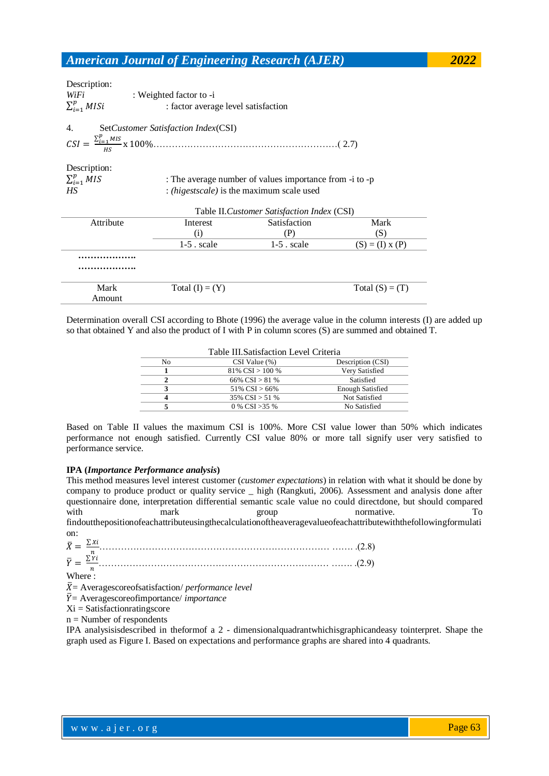| Description: |  |
|--------------|--|
| WiFi         |  |

*WiFi* : Weighted factor to -i  $\Sigma_i^{\imath}$ : factor average level satisfaction

4. Set*Customer Satisfaction Index*(CSI)

 $CSI = \frac{\sum_i^L}{\sum_i^L}$ ……………………………………………………( 2.7)

Description:

 $\Sigma_i^{\imath}$ 

: The average number of values importance from -i to -p *HS* : *(higestscale)* is the maximum scale used

| Table II. Customer Satisfaction Index (CSI) |                    |               |                   |  |  |  |
|---------------------------------------------|--------------------|---------------|-------------------|--|--|--|
| Attribute                                   | Interest           | Satisfaction  | Mark              |  |  |  |
|                                             | $\left( 1 \right)$ | P)            | (S)               |  |  |  |
|                                             | $1-5$ . scale      | $1-5$ . scale | $(S) = (I) x (P)$ |  |  |  |
|                                             |                    |               |                   |  |  |  |
| .                                           |                    |               |                   |  |  |  |
| Mark                                        | Total $(I) = (Y)$  |               | Total $(S) = (T)$ |  |  |  |
| Amount                                      |                    |               |                   |  |  |  |

Determination overall CSI according to Bhote (1996) the average value in the column interests (I) are added up so that obtained Y and also the product of I with P in column scores (S) are summed and obtained T.

| Table III. Satisfaction Level Criteria |                      |                         |  |  |  |
|----------------------------------------|----------------------|-------------------------|--|--|--|
| No                                     | $CSI Value (\%)$     | Description (CSI)       |  |  |  |
|                                        | $81\%$ CSI $> 100\%$ | Very Satisfied          |  |  |  |
| ,                                      | 66% CSI $> 81$ %     | Satisfied               |  |  |  |
| 3                                      | 51% $CSI > 66%$      | <b>Enough Satisfied</b> |  |  |  |
| 4                                      | 35% $CSI > 51$ %     | Not Satisfied           |  |  |  |
|                                        | 0 % CSI $>35$ %      | No Satisfied            |  |  |  |

Based on Table II values the maximum CSI is 100%. More CSI value lower than 50% which indicates performance not enough satisfied. Currently CSI value 80% or more tall signify user very satisfied to performance service.

# **IPA (***Importance Performance analysis***)**

This method measures level interest customer (*customer expectations*) in relation with what it should be done by company to produce product or quality service \_ high (Rangkuti, 2006). Assessment and analysis done after questionnaire done, interpretation differential semantic scale value no could directdone, but should compared with mark group normative. To findoutthepositionofeachattributeusingthecalculationoftheaveragevalueofeachattributewiththefollowingformulati

on:  $\bar{X} = \frac{\Sigma}{\Sigma}$  $\boldsymbol{n}$ ………………………………………………………………… ……. .(2.8)  $\bar{Y} = \frac{\Sigma}{\sqrt{2}}$  $\boldsymbol{n}$ ………………………………………………………………… ……. .(2.9) Where:

 $\bar{X}$  = Averagescoreof satisfaction/ *performance level* 

 $\overline{Y}$  = Averagescoreofimportance/ *importance* 

Xi = Satisfactionratingscore

 $n =$  Number of respondents

IPA analysisisdescribed in theformof a 2 - dimensionalquadrantwhichisgraphicandeasy tointerpret. Shape the graph used as Figure I. Based on expectations and performance graphs are shared into 4 quadrants.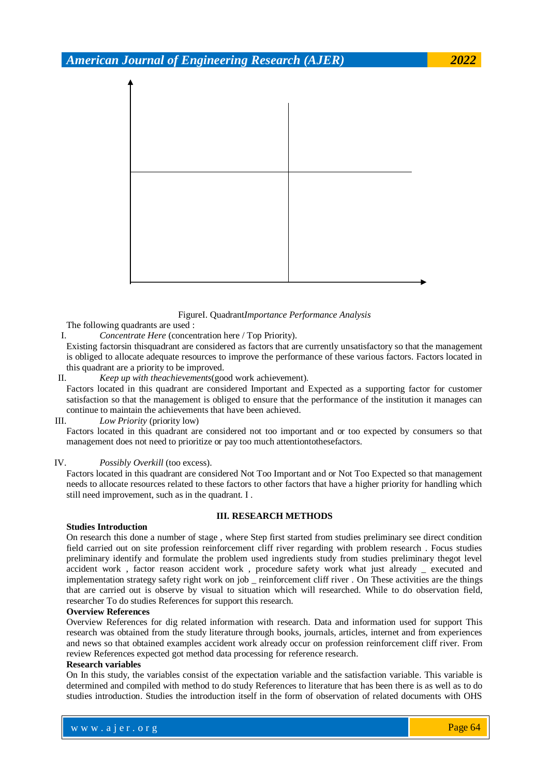

#### FigureI. Quadrant*Importance Performance Analysis*

The following quadrants are used :

I. *Concentrate Here* (concentration here / Top Priority).

Existing factorsin thisquadrant are considered as factors that are currently unsatisfactory so that the management is obliged to allocate adequate resources to improve the performance of these various factors. Factors located in this quadrant are a priority to be improved.

II. *Keep up with theachievements*(good work achievement).

Factors located in this quadrant are considered Important and Expected as a supporting factor for customer satisfaction so that the management is obliged to ensure that the performance of the institution it manages can continue to maintain the achievements that have been achieved.

### III. *Low Priority* (priority low)

Factors located in this quadrant are considered not too important and or too expected by consumers so that management does not need to prioritize or pay too much attentiontothesefactors.

#### IV. *Possibly Overkill* (too excess).

Factors located in this quadrant are considered Not Too Important and or Not Too Expected so that management needs to allocate resources related to these factors to other factors that have a higher priority for handling which still need improvement, such as in the quadrant. I .

# **III. RESEARCH METHODS**

#### **Studies Introduction**

On research this done a number of stage , where Step first started from studies preliminary see direct condition field carried out on site profession reinforcement cliff river regarding with problem research . Focus studies preliminary identify and formulate the problem used ingredients study from studies preliminary thegot level accident work , factor reason accident work , procedure safety work what just already \_ executed and implementation strategy safety right work on job \_ reinforcement cliff river . On These activities are the things that are carried out is observe by visual to situation which will researched. While to do observation field, researcher To do studies References for support this research.

#### **Overview References**

Overview References for dig related information with research. Data and information used for support This research was obtained from the study literature through books, journals, articles, internet and from experiences and news so that obtained examples accident work already occur on profession reinforcement cliff river. From review References expected got method data processing for reference research.

#### **Research variables**

On In this study, the variables consist of the expectation variable and the satisfaction variable. This variable is determined and compiled with method to do study References to literature that has been there is as well as to do studies introduction. Studies the introduction itself in the form of observation of related documents with OHS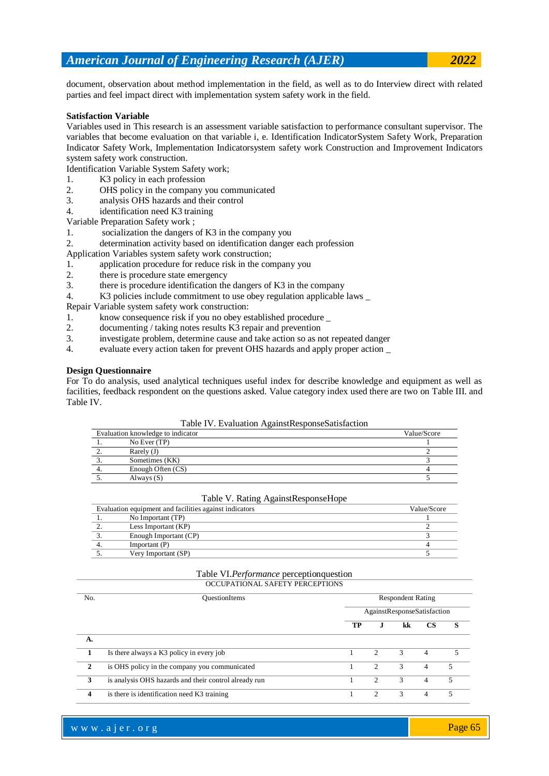document, observation about method implementation in the field, as well as to do Interview direct with related parties and feel impact direct with implementation system safety work in the field.

### **Satisfaction Variable**

Variables used in This research is an assessment variable satisfaction to performance consultant supervisor. The variables that become evaluation on that variable i, e. Identification IndicatorSystem Safety Work, Preparation Indicator Safety Work, Implementation Indicatorsystem safety work Construction and Improvement Indicators system safety work construction.

Identification Variable System Safety work;

- 1. K3 policy in each profession
- 2. OHS policy in the company you communicated
- 3. analysis OHS hazards and their control
- 4. identification need K3 training
- Variable Preparation Safety work ;
- 1. socialization the dangers of K3 in the company you
- 2. determination activity based on identification danger each profession
- Application Variables system safety work construction;
- 1. application procedure for reduce risk in the company you
- 2. there is procedure state emergency
- 3. there is procedure identification the dangers of K3 in the company
- 4. K3 policies include commitment to use obey regulation applicable laws \_

Repair Variable system safety work construction:

- 1. know consequence risk if you no obey established procedure \_
- 2. documenting / taking notes results K3 repair and prevention
- 3. investigate problem, determine cause and take action so as not repeated danger
- 4. evaluate every action taken for prevent OHS hazards and apply proper action \_

#### **Design Questionnaire**

For To do analysis, used analytical techniques useful index for describe knowledge and equipment as well as facilities, feedback respondent on the questions asked. Value category index used there are two on Table III. and Table IV.

|  | Table IV. Evaluation AgainstResponseSatisfaction |
|--|--------------------------------------------------|
|  |                                                  |

| Evaluation knowledge to indicator | Value/Score |
|-----------------------------------|-------------|
| No Ever (TP)                      |             |
| Rarely $(J)$                      |             |
| Sometimes (KK)                    |             |
| Enough Often (CS)                 |             |
| Always $(S)$                      |             |

#### Table V. Rating AgainstResponseHope

| Evaluation equipment and facilities against indicators |                       | Value/Score |
|--------------------------------------------------------|-----------------------|-------------|
|                                                        | No Important (TP)     |             |
| ٠.                                                     | Less Important (KP)   |             |
|                                                        | Enough Important (CP) |             |
|                                                        | Important(P)          |             |
|                                                        | Very Important (SP)   |             |

# Table VI.*Performance* perceptionquestion

OCCUPATIONAL SAFETY PERCEPTIONS

| No.          | <b>OuestionItems</b>                                  |                             | <b>Respondent Rating</b> |    |                |          |  |  |
|--------------|-------------------------------------------------------|-----------------------------|--------------------------|----|----------------|----------|--|--|
|              |                                                       | AgainstResponseSatisfaction |                          |    |                |          |  |  |
|              |                                                       | TP                          | .,                       | kk | <b>CS</b>      | <b>S</b> |  |  |
| А.           |                                                       |                             |                          |    |                |          |  |  |
|              | Is there always a K3 policy in every job              |                             | $\mathcal{P}$            | 3  | $\overline{4}$ | 5        |  |  |
| $\mathbf{2}$ | is OHS policy in the company you communicated         |                             | $\mathcal{D}$            | 3  | 4              | 5        |  |  |
| 3            | is analysis OHS hazards and their control already run |                             | 2                        | 3  | 4              | 5        |  |  |
| 4            | is there is identification need K3 training           |                             | $\mathfrak{D}$           | 3  | 4              | 5        |  |  |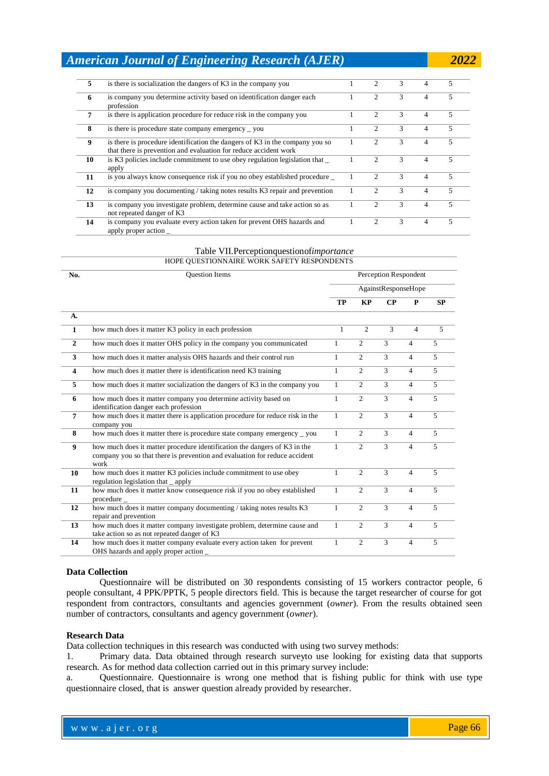| 5  | is there is socialization the dangers of K3 in the company you                                                                                   | 2                           | 3 | 4                        | 5 |
|----|--------------------------------------------------------------------------------------------------------------------------------------------------|-----------------------------|---|--------------------------|---|
| 6  | is company you determine activity based on identification danger each<br>profession                                                              | $\mathfrak{D}$              | 3 | 4                        | 5 |
| 7  | is there is application procedure for reduce risk in the company you                                                                             | 2                           | 3 | $\overline{\mathcal{A}}$ | 5 |
| 8  | is there is procedure state company emergency $\equiv$ you                                                                                       | $\mathfrak{D}$              | 3 | $\overline{4}$           | 5 |
| 9  | is there is procedure identification the dangers of K3 in the company you so<br>that there is prevention and evaluation for reduce accident work |                             | 3 | 4                        | 5 |
| 10 | is K <sub>3</sub> policies include commitment to use obey regulation legislation that<br>apply                                                   | $\mathcal{D}_{\mathcal{L}}$ | 3 | 4                        | 5 |
| 11 | is you always know consequence risk if you no obey established procedure                                                                         | $\mathcal{D}_{\mathcal{L}}$ | 3 | $\overline{4}$           | 5 |
| 12 | is company you documenting / taking notes results K3 repair and prevention                                                                       | $\mathcal{D}$               | 3 | $\overline{4}$           | 5 |
| 13 | is company you investigate problem, determine cause and take action so as<br>not repeated danger of K3                                           | $\mathcal{D}$               | 3 | $\overline{\mathcal{A}}$ | 5 |
| 14 | is company you evaluate every action taken for prevent OHS hazards and<br>apply proper action                                                    | 2                           | 3 | $\overline{4}$           | 5 |

#### Table VII.Perceptionquestionof*importance*

|                | HOPE QUESTIONNAIRE WORK SAFETY RESPONDENTS                                                                                                                      |                       |                |                     |                |                |
|----------------|-----------------------------------------------------------------------------------------------------------------------------------------------------------------|-----------------------|----------------|---------------------|----------------|----------------|
| No.            | <b>Ouestion Items</b>                                                                                                                                           | Perception Respondent |                |                     |                |                |
|                |                                                                                                                                                                 |                       |                | AgainstResponseHope |                |                |
|                |                                                                                                                                                                 | <b>TP</b>             | <b>KP</b>      | CP                  | P              | SP             |
| A.             |                                                                                                                                                                 |                       |                |                     |                |                |
| $\mathbf{1}$   | how much does it matter K3 policy in each profession                                                                                                            | $\mathbf{1}$          | $\overline{c}$ | 3                   | $\overline{4}$ | 5              |
| $\mathbf{2}$   | how much does it matter OHS policy in the company you communicated                                                                                              | $\mathbf{1}$          | 2              | 3                   | $\overline{4}$ | 5              |
| $\mathbf{3}$   | how much does it matter analysis OHS hazards and their control run                                                                                              | $\mathbf{1}$          | $\overline{c}$ | 3                   | $\overline{4}$ | $\overline{5}$ |
| 4              | how much does it matter there is identification need K3 training                                                                                                | $\mathbf{1}$          | $\overline{2}$ | 3                   | $\overline{4}$ | 5              |
| 5              | how much does it matter socialization the dangers of K3 in the company you                                                                                      | $\mathbf{1}$          | $\overline{2}$ | 3                   | $\overline{4}$ | $\overline{5}$ |
| 6              | how much does it matter company you determine activity based on<br>identification danger each profession                                                        | $\mathbf{1}$          | $\overline{2}$ | $\overline{3}$      | $\overline{4}$ | $\overline{5}$ |
| $\overline{7}$ | how much does it matter there is application procedure for reduce risk in the<br>company you                                                                    | $\mathbf{1}$          | $\overline{c}$ | 3                   | $\overline{4}$ | $\overline{5}$ |
| 8              | how much does it matter there is procedure state company emergency _ you                                                                                        | $\mathbf{1}$          | 2              | 3                   | $\overline{4}$ | $\overline{5}$ |
| 9              | how much does it matter procedure identification the dangers of K3 in the<br>company you so that there is prevention and evaluation for reduce accident<br>work | $\mathbf{1}$          | $\overline{2}$ | 3                   | $\overline{4}$ | 5              |
| 10             | how much does it matter K3 policies include commitment to use obey<br>regulation legislation that $\_\$ gpply                                                   | $\mathbf{1}$          | $\overline{c}$ | 3                   | $\overline{4}$ | 5              |
| 11             | how much does it matter know consequence risk if you no obey established<br>procedure $_{-}$                                                                    | $\mathbf{1}$          | $\overline{c}$ | 3                   | $\overline{4}$ | $\overline{5}$ |
| 12             | how much does it matter company documenting / taking notes results K3<br>repair and prevention                                                                  | $\mathbf{1}$          | $\overline{2}$ | 3                   | $\overline{4}$ | 5              |
| 13             | how much does it matter company investigate problem, determine cause and<br>take action so as not repeated danger of K3                                         | $\mathbf{1}$          | $\mathfrak{D}$ | $\mathcal{F}$       | $\overline{4}$ | $\overline{5}$ |
| 14             | how much does it matter company evaluate every action taken for prevent<br>OHS hazards and apply proper action                                                  | $\mathbf{1}$          | $\overline{c}$ | $\overline{3}$      | $\overline{4}$ | $\overline{5}$ |

### **Data Collection**

Questionnaire will be distributed on 30 respondents consisting of 15 workers contractor people, 6 people consultant, 4 PPK/PPTK, 5 people directors field. This is because the target researcher of course for got respondent from contractors, consultants and agencies government (*owner*). From the results obtained seen number of contractors, consultants and agency government (*owner*).

#### **Research Data**

Data collection techniques in this research was conducted with using two survey methods:

1. Primary data. Data obtained through research surveyto use looking for existing data that supports research. As for method data collection carried out in this primary survey include:

a. Questionnaire. Questionnaire is wrong one method that is fishing public for think with use type questionnaire closed, that is answer question already provided by researcher.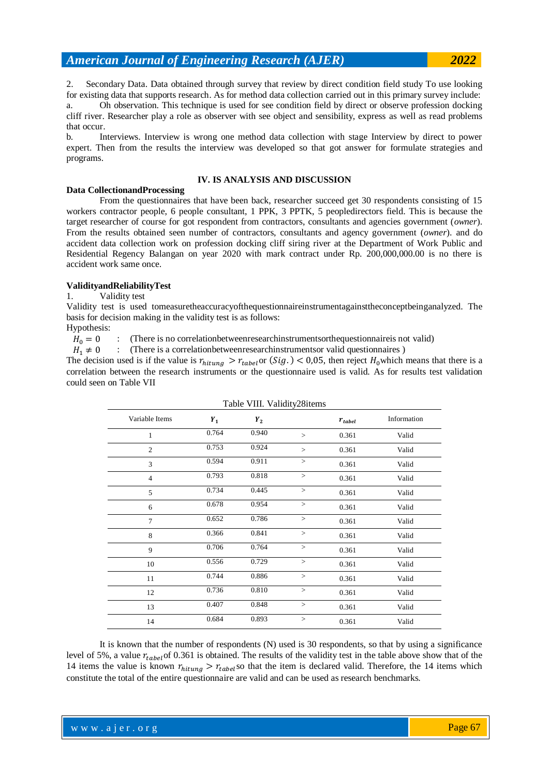2. Secondary Data. Data obtained through survey that review by direct condition field study To use looking for existing data that supports research. As for method data collection carried out in this primary survey include: a. Oh observation. This technique is used for see condition field by direct or observe profession docking cliff river. Researcher play a role as observer with see object and sensibility, express as well as read problems that occur.

b. Interviews. Interview is wrong one method data collection with stage Interview by direct to power expert. Then from the results the interview was developed so that got answer for formulate strategies and programs.

### **IV. IS ANALYSIS AND DISCUSSION**

#### **Data CollectionandProcessing**

From the questionnaires that have been back, researcher succeed get 30 respondents consisting of 15 workers contractor people, 6 people consultant, 1 PPK, 3 PPTK, 5 peopledirectors field. This is because the target researcher of course for got respondent from contractors, consultants and agencies government (*owner*). From the results obtained seen number of contractors, consultants and agency government (*owner*). and do accident data collection work on profession docking cliff siring river at the Department of Work Public and Residential Regency Balangan on year 2020 with mark contract under Rp. 200,000,000.00 is no there is accident work same once.

### **ValidityandReliabilityTest**

### 1. Validity test

Validity test is used tomeasuretheaccuracyofthequestionnaireinstrumentagainsttheconceptbeinganalyzed. The basis for decision making in the validity test is as follows:

Hypothesis:

 $H_0 = 0$  : (There is no correlation between research instruments orthequestion naireis not valid)

 $H_1 \neq 0$  : (There is a correlation between research instruments or valid questionnaires)

The decision used is if the value is  $r_{hitung} > r_{table}$  or  $(Sig.) < 0.05$ , then reject  $H_0$  which means that there is a correlation between the research instruments or the questionnaire used is valid. As for results test validation could seen on Table VII

Table VIII. Validity28items

| 14                                                                                                                          | 0.684 | 0.893 | 0.361 | Valid |  |
|-----------------------------------------------------------------------------------------------------------------------------|-------|-------|-------|-------|--|
| It is known that the number of respondents (N) used is 30 respondents, so that by using a significance                      |       |       |       |       |  |
| level of 5%, a value $r_{table}$ of 0.361 is obtained. The results of the validity test in the table above show that of the |       |       |       |       |  |
| 14 items the value is known $r_{hitung} > r_{table}$ so that the item is declared valid. Therefore, the 14 items which      |       |       |       |       |  |
| constitute the total of the entire questionnaire are valid and can be used as research benchmarks.                          |       |       |       |       |  |

| Variable Items | $Y_1$ | $Y_2$ |          | $r_{tablel}$ | Information |  |
|----------------|-------|-------|----------|--------------|-------------|--|
| 1              | 0.764 | 0.940 | $\geq$   | 0.361        | Valid       |  |
| $\overline{c}$ | 0.753 | 0.924 | >        | 0.361        | Valid       |  |
| 3              | 0.594 | 0.911 | >        | 0.361        | Valid       |  |
| $\overline{4}$ | 0.793 | 0.818 | $\rm{>}$ | 0.361        | Valid       |  |
| 5              | 0.734 | 0.445 | >        | 0.361        | Valid       |  |
| 6              | 0.678 | 0.954 | >        | 0.361        | Valid       |  |
| 7              | 0.652 | 0.786 | >        | 0.361        | Valid       |  |
| 8              | 0.366 | 0.841 | $\rm{>}$ | 0.361        | Valid       |  |
| 9              | 0.706 | 0.764 | >        | 0.361        | Valid       |  |
| 10             | 0.556 | 0.729 | $\geq$   | 0.361        | Valid       |  |
| 11             | 0.744 | 0.886 | $\geq$   | 0.361        | Valid       |  |
| 12             | 0.736 | 0.810 | >        | 0.361        | Valid       |  |
| 13             | 0.407 | 0.848 | >        | 0.361        | Valid       |  |
| 14             | 0.684 | 0.893 | $\geq$   | 0.361        | Valid       |  |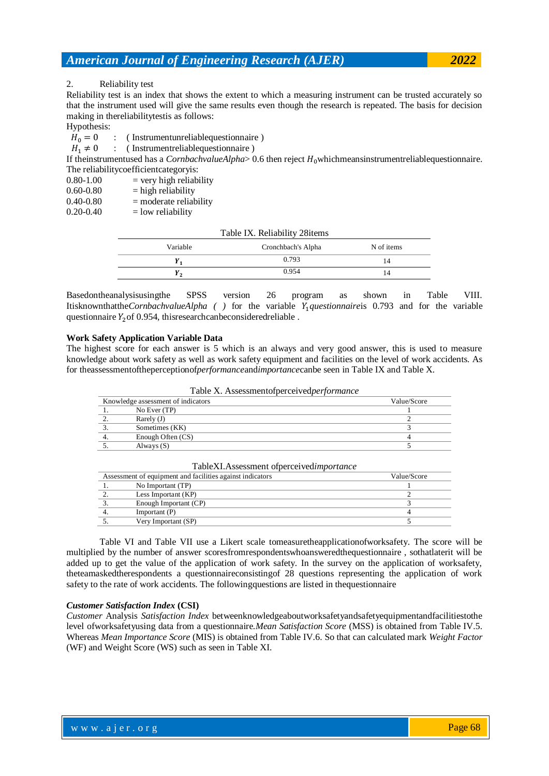2. Reliability test

Reliability test is an index that shows the extent to which a measuring instrument can be trusted accurately so that the instrument used will give the same results even though the research is repeated. The basis for decision making in thereliabilitytestis as follows:

Hypothesis:<br> $H_0 = 0$ 

: ( Instrumentunreliablequestionnaire )

 $H_1 \neq 0$  : (Instrumentreliablequestionnaire)

If theinstrumentused has a *CornbachvalueAlpha* $> 0.6$  then reject  $H_0$ whichmeansinstrumentreliablequestionnaire. The reliabilitycoefficientcategoryis:

 $0.80-1.00$  = very high reliability

 $0.60-0.80$  = high reliability

 $0.40-0.80$  = moderate reliability

 $0.20-0.40$  = low reliability

| Table IX. Reliability 28 items |                    |            |  |  |  |
|--------------------------------|--------------------|------------|--|--|--|
| Variable                       | Cronchbach's Alpha | N of items |  |  |  |
| <i>1</i> 1                     | 0.793              | 14         |  |  |  |
| r,                             | 0.954              | 14         |  |  |  |

Basedontheanalysisusingthe SPSS version 26 program as shown in Table VIII. Itisknownthatthe*CornbachvalueAlpha ( )* for the variable *questionnaire*is 0.793 and for the variable questionnaire  $Y_2$  of 0.954, this research can be considered reliable.

#### **Work Safety Application Variable Data**

The highest score for each answer is 5 which is an always and very good answer, this is used to measure knowledge about work safety as well as work safety equipment and facilities on the level of work accidents. As for theassessmentoftheperceptionof*performance*and*importance*canbe seen in Table IX and Table X.

|  | Table X. Assessmentofperceivedperformance |  |  |
|--|-------------------------------------------|--|--|
|--|-------------------------------------------|--|--|

| Knowledge assessment of indicators |                   | Value/Score |
|------------------------------------|-------------------|-------------|
|                                    | No Ever $(TP)$    |             |
| 2.                                 | Rarely $(J)$      |             |
|                                    | Sometimes (KK)    |             |
| 4.                                 | Enough Often (CS) |             |
|                                    | Always $(S)$      |             |
|                                    |                   |             |

|    | Assessment of equipment and facilities against indicators | Value/Score |
|----|-----------------------------------------------------------|-------------|
|    | No Important (TP)                                         |             |
| 2. | Less Important (KP)                                       |             |
|    | Enough Important (CP)                                     |             |
|    | Important $(P)$                                           |             |
|    | Very Important (SP)                                       |             |
|    |                                                           |             |

TableXI.Assessment ofperceived*importance*

Table VI and Table VII use a Likert scale tomeasuretheapplicationofworksafety. The score will be multiplied by the number of answer scoresfromrespondentswhoansweredthequestionnaire , sothatlaterit will be added up to get the value of the application of work safety. In the survey on the application of worksafety, theteamaskedtherespondents a questionnaireconsistingof 28 questions representing the application of work safety to the rate of work accidents. The followingquestions are listed in thequestionnaire

### *Customer Satisfaction Index* **(CSI)**

*Customer* Analysis *Satisfaction Index* betweenknowledgeaboutworksafetyandsafetyequipmentandfacilitiestothe level ofworksafetyusing data from a questionnaire.*Mean Satisfaction Score* (MSS) is obtained from Table IV.5. Whereas *Mean Importance Score* (MIS) is obtained from Table IV.6. So that can calculated mark *Weight Factor*  (WF) and Weight Score (WS) such as seen in Table XI.

where  $\mathcal{L} = \mathcal{L} \left( \mathcal{L} \right)$  is the set of  $\mathcal{L} \left( \mathcal{L} \right)$ 

Page 68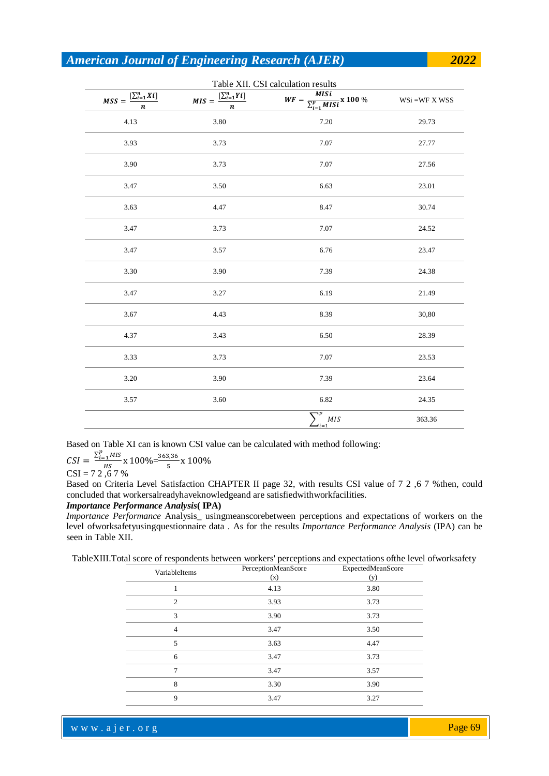|                                                            |                                                  | Table XII. CSI calculation results<br><b>MISi</b> |                  |
|------------------------------------------------------------|--------------------------------------------------|---------------------------------------------------|------------------|
| $MSS = \frac{[\sum_{i=1}^{n}Xi_i]}{NSS}$<br>$\overline{n}$ | $\overline{MIS} = \frac{[\sum_{i=1}^{n} Yi]}{n}$ |                                                   | $WSi = WF X WSS$ |
| 4.13                                                       | 3.80                                             | 7.20                                              | 29.73            |
| 3.93                                                       | 3.73                                             | 7.07                                              | 27.77            |
| 3.90                                                       | 3.73                                             | 7.07                                              | 27.56            |
| 3.47                                                       | 3.50                                             | 6.63                                              | 23.01            |
| 3.63                                                       | 4.47                                             | 8.47                                              | 30.74            |
| 3.47                                                       | 3.73                                             | 7.07                                              | 24.52            |
| 3.47                                                       | 3.57                                             | 6.76                                              | 23.47            |
| 3.30                                                       | 3.90                                             | 7.39                                              | 24.38            |
| 3.47                                                       | 3.27                                             | 6.19                                              | 21.49            |
| 3.67                                                       | 4.43                                             | 8.39                                              | 30,80            |
| 4.37                                                       | 3.43                                             | 6.50                                              | 28.39            |
| 3.33                                                       | 3.73                                             | 7.07                                              | 23.53            |
| 3.20                                                       | 3.90                                             | 7.39                                              | 23.64            |
| 3.57                                                       | 3.60                                             | 6.82                                              | 24.35            |
|                                                            |                                                  | MIS<br>_<br>— <sub>i=1</sub>                      | 363.36           |

Based on Table XI can is known CSI value can be calculated with method following:

 $CSI = \frac{\sum_i^t}{\sum_i^t}$  $\frac{1 \text{ s}}{H}$   $\frac{M}{S}$  x 100%  $=$   $\frac{3}{2}$  $\frac{5,56}{5}x$  $CSI = 72, 67 %$ 

Based on Criteria Level Satisfaction CHAPTER II page 32, with results CSI value of 7 2 ,6 7 %then, could concluded that workersalreadyhaveknowledgeand are satisfiedwithworkfacilities.

### *Importance Performance Analysis***( IPA)**

*Importance Performance* Analysis*\_* usingmeanscorebetween perceptions and expectations of workers on the level ofworksafetyusingquestionnaire data . As for the results *Importance Performance Analysis* (IPA) can be seen in Table XII.

TableXIII.Total score of respondents between workers' perceptions and expectations ofthe level ofworksafety

| VariableItems  | PerceptionMeanScore<br>(x) | ExpectedMeanScore<br>(y) |
|----------------|----------------------------|--------------------------|
|                | 4.13                       | 3.80                     |
| 2              | 3.93                       | 3.73                     |
| 3              | 3.90                       | 3.73                     |
| $\overline{4}$ | 3.47                       | 3.50                     |
| 5              | 3.63                       | 4.47                     |
| 6              | 3.47                       | 3.73                     |
| 7              | 3.47                       | 3.57                     |
| 8              | 3.30                       | 3.90                     |
| 9              | 3.47                       | 3.27                     |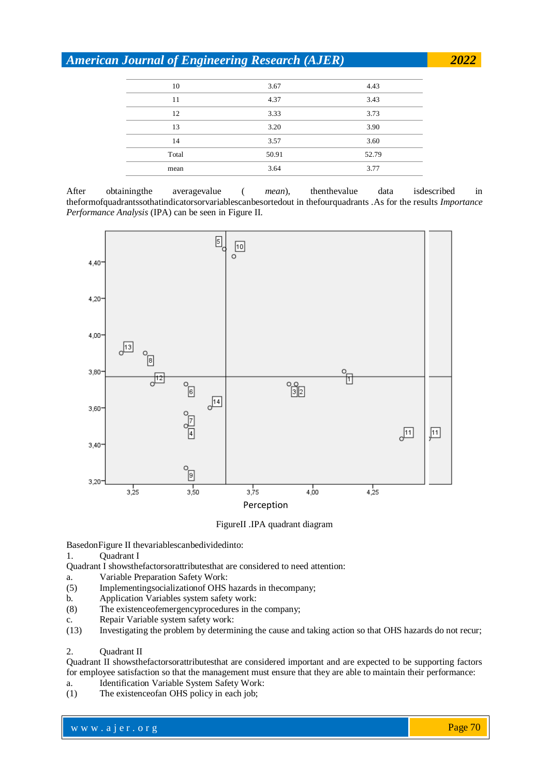| 10    | 3.67  | 4.43  |
|-------|-------|-------|
| 11    | 4.37  | 3.43  |
| 12    | 3.33  | 3.73  |
| 13    | 3.20  | 3.90  |
| 14    | 3.57  | 3.60  |
| Total | 50.91 | 52.79 |
| mean  | 3.64  | 3.77  |
|       |       |       |

After obtainingthe averagevalue ( *mean*), thenthevalue data isdescribed in theformofquadrantssothatindicatorsorvariablescanbesortedout in thefourquadrants .As for the results *Importance Performance Analysis* (IPA) can be seen in Figure II.



#### FigureII .IPA quadrant diagram

BasedonFigure II thevariablescanbedividedinto:

1. Quadrant I

Quadrant I showsthefactorsorattributesthat are considered to need attention:

- a. Variable Preparation Safety Work:
- (5) Implementingsocializationof OHS hazards in thecompany;
- b. Application Variables system safety work:
- (8) The existenceofemergencyprocedures in the company;
- c. Repair Variable system safety work:<br>(13) Investigating the problem by determined
- Investigating the problem by determining the cause and taking action so that OHS hazards do not recur;

# 2. Quadrant II

Quadrant II showsthefactorsorattributesthat are considered important and are expected to be supporting factors for employee satisfaction so that the management must ensure that they are able to maintain their performance:

- a. Identification Variable System Safety Work:
- (1) The existenceofan OHS policy in each job;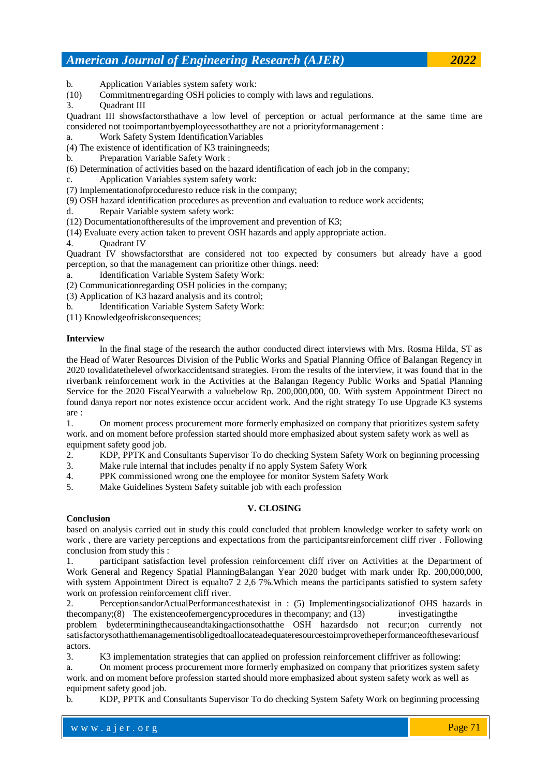b. Application Variables system safety work:

(10) Commitmentregarding OSH policies to comply with laws and regulations.

3. Quadrant III

Quadrant III showsfactorsthathave a low level of perception or actual performance at the same time are considered not tooimportantbyemployeessothatthey are not a priorityformanagement :

a. Work Safety System IdentificationVariables

(4) The existence of identification of K3 trainingneeds;

- b. Preparation Variable Safety Work :
- (6) Determination of activities based on the hazard identification of each job in the company;
- c. Application Variables system safety work:
- (7) Implementationofproceduresto reduce risk in the company;
- (9) OSH hazard identification procedures as prevention and evaluation to reduce work accidents;
- d. Repair Variable system safety work:
- (12) Documentationoftheresults of the improvement and prevention of K3;

(14) Evaluate every action taken to prevent OSH hazards and apply appropriate action.

# 4. Quadrant IV

Quadrant IV showsfactorsthat are considered not too expected by consumers but already have a good perception, so that the management can prioritize other things. need:

a. Identification Variable System Safety Work:

- (2) Communicationregarding OSH policies in the company;
- (3) Application of K3 hazard analysis and its control;
- b. Identification Variable System Safety Work:
- (11) Knowledgeofriskconsequences;

# **Interview**

In the final stage of the research the author conducted direct interviews with Mrs. Rosma Hilda, ST as the Head of Water Resources Division of the Public Works and Spatial Planning Office of Balangan Regency in 2020 tovalidatethelevel ofworkaccidentsand strategies. From the results of the interview, it was found that in the riverbank reinforcement work in the Activities at the Balangan Regency Public Works and Spatial Planning Service for the 2020 FiscalYearwith a valuebelow Rp. 200,000,000, 00. With system Appointment Direct no found danya report nor notes existence occur accident work. And the right strategy To use Upgrade K3 systems are :

1. On moment process procurement more formerly emphasized on company that prioritizes system safety work. and on moment before profession started should more emphasized about system safety work as well as equipment safety good job.

2. KDP, PPTK and Consultants Supervisor To do checking System Safety Work on beginning processing

- 3. Make rule internal that includes penalty if no apply System Safety Work
- 4. PPK commissioned wrong one the employee for monitor System Safety Work
- 5. Make Guidelines System Safety suitable job with each profession

# **V. CLOSING**

# **Conclusion**

based on analysis carried out in study this could concluded that problem knowledge worker to safety work on work , there are variety perceptions and expectations from the participantsreinforcement cliff river . Following conclusion from study this :

1. participant satisfaction level profession reinforcement cliff river on Activities at the Department of Work General and Regency Spatial PlanningBalangan Year 2020 budget with mark under Rp. 200,000,000, with system Appointment Direct is equaltor 2 2,6 7%. Which means the participants satisfied to system safety work on profession reinforcement cliff river.

2. PerceptionsandorActualPerformancesthatexist in : (5) Implementingsocializationof OHS hazards in the company; $(8)$  The existence of emergency procedures in the company; and  $(13)$  investigating the problem bydeterminingthecauseandtakingactionsothatthe OSH hazardsdo not recur;on currently not satisfactorysothatthemanagementisobligedtoallocateadequateresourcestoimprovetheperformanceofthesevariousf actors.

3. K3 implementation strategies that can applied on profession reinforcement cliffriver as following:

a. On moment process procurement more formerly emphasized on company that prioritizes system safety work. and on moment before profession started should more emphasized about system safety work as well as equipment safety good job.

b. KDP, PPTK and Consultants Supervisor To do checking System Safety Work on beginning processing